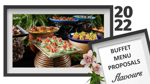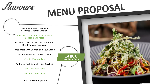*flavours* 

# MENU PROPOSAL

Homemade Red Blinis with Steamed Oriental Chicken

Tortilla Cup with Mushroom Ragout & Fresh Basil Pesto

Bruschetta with Prosciutto Crudo & Sun Dried Tomato Tapenade

Toast Bread with Salmon and Sour Cream

Tandoori Maroccan Chicken Skewers

Veggie Wok Noodles

Authentic Pork Souflaki with Zucchini

Cous Cous Feta Salad

Flavours Greek salad

Desert: Spiced Apple Pie

**16 EUR max. 500gr/pers**

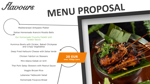*flavours* 

## MENU PROPOSAL

Mediteranean Antipasto Platter

Italian Homemade Arancini Risotto Balls

Our Homemade Crunchy Falafel with Tarator Sauce

Hummus Bowls with Za'atar, Baked Chickpeas and Crispy Vegetables

Deep Fried Halloumi Cheese with Salsa Verde

Chicken Yakitori on Skewers

Mini Adana Kebab on Grill

Thai Pork Satay Skewers with Peanut Sauce

Veggie Biryani Rice

Lebanese Tabbouleh Salad

Homemade Focaccia Bread



**20 EUR max. 550gr/pers**



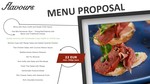*flavours* 

## MENU PROPOSAL

Blinis with Duck Confit and Sweet Chilly Sauce

One Bite Romanian 'Bulz' - Chargrilled Polenta with Bacon and Traditional Chesse

Za'atar Hummus with Homemade Crispy Falafel on Tortilla Cups

Wonton Cups with Mango Salsa and Salted Caramel Chicken

Thai Chicken Satay with Crunchy Peanut Sauce

Mediterranean Salmon Skewers

Stir Fry Broccoli

Pork Kofta with Raita and Pita Bread

Fresh Thai Salad with Mango

Homemade Focaccia Bread

Mini Cheese Cakes with Seasonal Fruits

Rich chocolate brownies



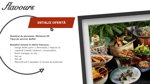*flavours* 

#### **DETALII OFERTĂ**

n

**Numărul de persoane: Minimum 50 Tipul de servire: Buffet**

#### **Beneficii incluse în oferta Flavours:**

- Design Bufet Lemn // Minimalist // Natură vie
- Logistică (veselă, tacâmuri, consumabile)
- Event manager on site
- Set-up
- Set-off
- Meniurile pot fi ajustate, în funcție de preferințe



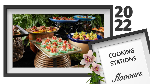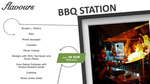*flavours* 

### **BBQ STATION**

Burgers / Sliders

Ribs

Mixed sausages

Coquelet

Mixed Cheese

Wedges with Mint, Parmesan and Onion Flakes

> Oven Baked Potatoes with Pickled Mustard Seeds

> > Coleslaw

Mixed Green Salad



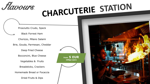

## CHARCUTERIE STATION

Prosciutto Crudo, Speck

Black Forrest Ham

Chorizzo, Milano Salami

Brie, Gouda, Parmesan, Cheddar

Deep Fried Cheese

Bocconcini, Blue Cheese

Vegetables & Fruits

Breadsticks, Crackers

Homemade Bread or Focaccia

Dried Fruits & Dips



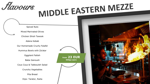

# MIDDLE EASTERN MEZZE

Spiced Nuts Mixed Marinated Olives Chicken Shish Tawook Adana Kebab Our Homemade Cruchy Falafel Hummus Bowls with Za'atar Eggplant Fatteh Baba Ganoush Cous Cous & Tabbouleh Salad Crunchy Vegetables Pita Bread Dips: Tarator, Raita



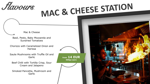

# MAC & CHEESE STATION

Mac & Cheese Basil, Pesto, Baby Mozzarela and Sundried Tomatoes Chorizzo with Caramelized Onion and Harissa Saute Mushrooms with Truffle Oil and Garlic Beef Chilli with Tortilla Crisp, Sour Cream and Jalapeno

Smoked Pancetta, Mushroom and Garlic



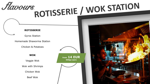#### ROTISSERIE / WOK STATION *flavours* **ROTISSERIE** Gyros Station Homemade Shaworma Station Chicken & Potatoes **WOK from 14 EUR 550gr/pers**Veggie Wok Wok with Shrimps Chicken Wok Beef Wok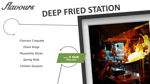

### DEEP FRIED STATION

Chorizzo Croquete

Onion Rings

Mozzarella Sticks

Spring Rolls

Chicken Goujons



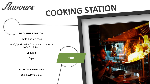

### **COOKING STATION**

#### **BAO BUN STATION**

Chifla bao de casa

Beef / pork belly / romanian\*mititei / tofu / chicken

Legume

Dips

#### **PAVLOVA STATION**

Our Pavlova Cake



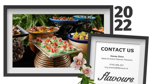#### **CONTACT US**

**20<br>22** 

**Horea Chira** Sales & Event Planner Flavours

0745.900.207 cluj.events@flavours.ro

*flavours*.